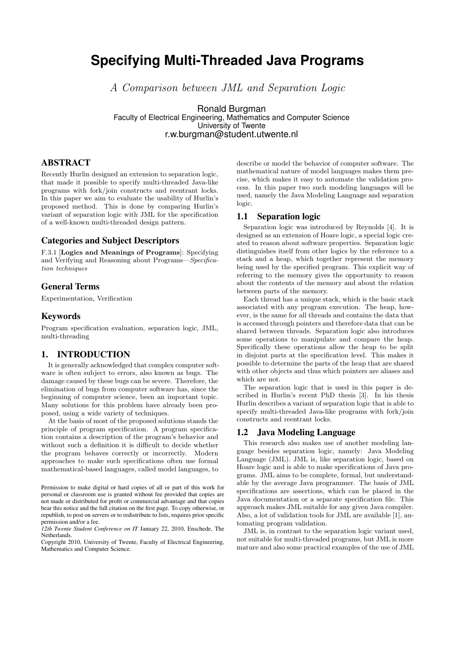# **Specifying Multi-Threaded Java Programs**

A Comparison between JML and Separation Logic

Ronald Burgman Faculty of Electrical Engineering, Mathematics and Computer Science University of Twente r.w.burgman@student.utwente.nl

# ABSTRACT

Recently Hurlin designed an extension to separation logic, that made it possible to specify multi-threaded Java-like programs with fork/join constructs and reentrant locks. In this paper we aim to evaluate the usability of Hurlin's proposed method. This is done by comparing Hurlin's variant of separation logic with JML for the specification of a well-known multi-threaded design pattern.

# Categories and Subject Descriptors

F.3.1 [Logics and Meanings of Programs]: Specifying and Verifying and Reasoning about Programs—Specification techniques

# General Terms

Experimentation, Verification

# Keywords

Program specification evaluation, separation logic, JML, multi-threading

# 1. INTRODUCTION

It is generally acknowledged that complex computer software is often subject to errors, also known as bugs. The damage caused by these bugs can be severe. Therefore, the elimination of bugs from computer software has, since the beginning of computer science, been an important topic. Many solutions for this problem have already been proposed, using a wide variety of techniques.

At the basis of most of the proposed solutions stands the principle of program specification. A program specification contains a description of the program's behavior and without such a definition it is difficult to decide whether the program behaves correctly or incorrectly. Modern approaches to make such specifications often use formal mathematical-based languages, called model languages, to

Copyright 2010, University of Twente, Faculty of Electrical Engineering, Mathematics and Computer Science.

describe or model the behavior of computer software. The mathematical nature of model languages makes them precise, which makes it easy to automate the validation process. In this paper two such modeling languages will be used, namely the Java Modeling Language and separation logic.

### 1.1 Separation logic

Separation logic was introduced by Reynolds [4]. It is designed as an extension of Hoare logic, a special logic created to reason about software properties. Separation logic distinguishes itself from other logics by the reference to a stack and a heap, which together represent the memory being used by the specified program. This explicit way of referring to the memory gives the opportunity to reason about the contents of the memory and about the relation between parts of the memory.

Each thread has a unique stack, which is the basic stack associated with any program execution. The heap, however, is the same for all threads and contains the data that is accessed through pointers and therefore data that can be shared between threads. Separation logic also introduces some operations to manipulate and compare the heap. Specifically these operations allow the heap to be split in disjoint parts at the specification level. This makes it possible to determine the parts of the heap that are shared with other objects and thus which pointers are aliases and which are not.

The separation logic that is used in this paper is described in Hurlin's recent PhD thesis [3]. In his thesis Hurlin describes a variant of separation logic that is able to specify multi-threaded Java-like programs with fork/join constructs and reentrant locks.

# 1.2 Java Modeling Language

This research also makes use of another modeling language besides separation logic, namely: Java Modeling Language (JML). JML is, like separation logic, based on Hoare logic and is able to make specifications of Java programs. JML aims to be complete, formal, but understandable by the average Java programmer. The basis of JML specifications are assertions, which can be placed in the Java documentation or a separate specification file. This approach makes JML suitable for any given Java compiler. Also, a lot of validation tools for JML are available [1], automating program validation.

JML is, in contrast to the separation logic variant used, not suitable for multi-threaded programs, but JML is more mature and also some practical examples of the use of JML

Permission to make digital or hard copies of all or part of this work for personal or classroom use is granted without fee provided that copies are not made or distributed for profit or commercial advantage and that copies bear this notice and the full citation on the first page. To copy otherwise, or republish, to post on servers or to redistribute to lists, requires prior specific permission and/or a fee.

*<sup>12</sup>th Twente Student Conference on IT* January 22, 2010, Enschede, The **Netherlands**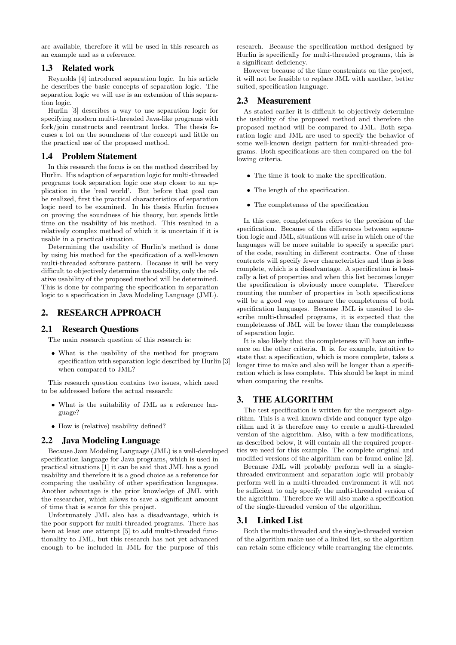are available, therefore it will be used in this research as an example and as a reference.

# 1.3 Related work

Reynolds [4] introduced separation logic. In his article he describes the basic concepts of separation logic. The separation logic we will use is an extension of this separation logic.

Hurlin [3] describes a way to use separation logic for specifying modern multi-threaded Java-like programs with fork/join constructs and reentrant locks. The thesis focuses a lot on the soundness of the concept and little on the practical use of the proposed method.

# 1.4 Problem Statement

In this research the focus is on the method described by Hurlin. His adaption of separation logic for multi-threaded programs took separation logic one step closer to an application in the 'real world'. But before that goal can be realized, first the practical characteristics of separation logic need to be examined. In his thesis Hurlin focuses on proving the soundness of his theory, but spends little time on the usability of his method. This resulted in a relatively complex method of which it is uncertain if it is usable in a practical situation.

Determining the usability of Hurlin's method is done by using his method for the specification of a well-known multi-threaded software pattern. Because it will be very difficult to objectively determine the usability, only the relative usability of the proposed method will be determined. This is done by comparing the specification in separation logic to a specification in Java Modeling Language (JML).

# 2. RESEARCH APPROACH

# 2.1 Research Questions

The main research question of this research is:

• What is the usability of the method for program specification with separation logic described by Hurlin [3] when compared to JML?

This research question contains two issues, which need to be addressed before the actual research:

- What is the suitability of JML as a reference language?
- How is (relative) usability defined?

# 2.2 Java Modeling Language

Because Java Modeling Language (JML) is a well-developed specification language for Java programs, which is used in practical situations [1] it can be said that JML has a good usability and therefore it is a good choice as a reference for comparing the usability of other specification languages. Another advantage is the prior knowledge of JML with the researcher, which allows to save a significant amount of time that is scarce for this project.

Unfortunately JML also has a disadvantage, which is the poor support for multi-threaded programs. There has been at least one attempt [5] to add multi-threaded functionality to JML, but this research has not yet advanced enough to be included in JML for the purpose of this

research. Because the specification method designed by Hurlin is specifically for multi-threaded programs, this is a significant deficiency.

However because of the time constraints on the project, it will not be feasible to replace JML with another, better suited, specification language.

### 2.3 Measurement

As stated earlier it is difficult to objectively determine the usability of the proposed method and therefore the proposed method will be compared to JML. Both separation logic and JML are used to specify the behavior of some well-known design pattern for multi-threaded programs. Both specifications are then compared on the following criteria.

- The time it took to make the specification.
- The length of the specification.
- The completeness of the specification

In this case, completeness refers to the precision of the specification. Because of the differences between separation logic and JML, situations will arise in which one of the languages will be more suitable to specify a specific part of the code, resulting in different contracts. One of these contracts will specify fewer characteristics and thus is less complete, which is a disadvantage. A specification is basically a list of properties and when this list becomes longer the specification is obviously more complete. Therefore counting the number of properties in both specifications will be a good way to measure the completeness of both specification languages. Because JML is unsuited to describe multi-threaded programs, it is expected that the completeness of JML will be lower than the completeness of separation logic.

It is also likely that the completeness will have an influence on the other criteria. It is, for example, intuitive to state that a specification, which is more complete, takes a longer time to make and also will be longer than a specification which is less complete. This should be kept in mind when comparing the results.

### 3. THE ALGORITHM

The test specification is written for the mergesort algorithm. This is a well-known divide and conquer type algorithm and it is therefore easy to create a multi-threaded version of the algorithm. Also, with a few modifications, as described below, it will contain all the required properties we need for this example. The complete original and modified versions of the algorithm can be found online [2].

Because JML will probably perform well in a singlethreaded environment and separation logic will probably perform well in a multi-threaded environment it will not be sufficient to only specify the multi-threaded version of the algorithm. Therefore we will also make a specification of the single-threaded version of the algorithm.

### 3.1 Linked List

Both the multi-threaded and the single-threaded version of the algorithm make use of a linked list, so the algorithm can retain some efficiency while rearranging the elements.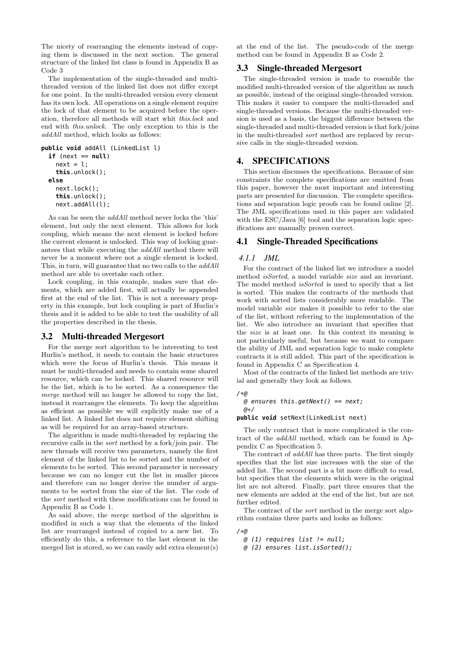The nicety of rearranging the elements instead of copying them is discussed in the next section. The general structure of the linked list class is found in Appendix B as Code 3

The implementation of the single-threaded and multithreaded version of the linked list does not differ except for one point. In the multi-threaded version every element has its own lock. All operations on a single element require the lock of that element to be acquired before the operation, therefore all methods will start whit this.lock and end with this.unlock. The only exception to this is the addAll method, which looks as follows:

```
public void addAll (LinkedList l)
  if (next == null)
    next = l;this.unlock();
  else
    next.lock();
    this.unlock();
    next.addAll(l);
```
As can be seen the addAll method never locks the 'this' element, but only the next element. This allows for lock coupling, which means the next element is locked before the current element is unlocked. This way of locking guarantees that while executing the addAll method there will never be a moment where not a single element is locked. This, in turn, will guarantee that no two calls to the addAll method are able to overtake each other.

Lock coupling, in this example, makes sure that elements, which are added first, will actually be appended first at the end of the list. This is not a necessary property in this example, but lock coupling is part of Hurlin's thesis and it is added to be able to test the usability of all the properties described in the thesis.

### 3.2 Multi-threaded Mergesort

For the merge sort algorithm to be interesting to test Hurlin's method, it needs to contain the basic structures which were the focus of Hurlin's thesis. This means it must be multi-threaded and needs to contain some shared resource, which can be locked. This shared resource will be the list, which is to be sorted. As a consequence the merge method will no longer be allowed to copy the list, instead it rearranges the elements. To keep the algorithm as efficient as possible we will explicitly make use of a linked list. A linked list does not require element shifting as will be required for an array-based structure.

The algorithm is made multi-threaded by replacing the recursive calls in the sort method by a fork/join pair. The new threads will receive two parameters, namely the first element of the linked list to be sorted and the number of elements to be sorted. This second parameter is necessary because we can no longer cut the list in smaller pieces and therefore can no longer derive the number of arguments to be sorted from the size of the list. The code of the sort method with these modifications can be found in Appendix B as Code 1.

As said above, the merge method of the algorithm is modified in such a way that the elements of the linked list are rearranged instead of copied to a new list. To efficiently do this, a reference to the last element in the merged list is stored, so we can easily add extra element(s)

at the end of the list. The pseudo-code of the merge method can be found in Appendix B as Code 2.

#### 3.3 Single-threaded Mergesort

The single-threaded version is made to resemble the modified multi-threaded version of the algorithm as much as possible, instead of the original single-threaded version. This makes it easier to compare the multi-threaded and single-threaded versions. Because the multi-threaded version is used as a basis, the biggest difference between the single-threaded and multi-threaded version is that fork/joins in the multi-threaded sort method are replaced by recursive calls in the single-threaded version.

# 4. SPECIFICATIONS

This section discusses the specifications. Because of size constraints the complete specifications are omitted from this paper, however the most important and interesting parts are presented for discussion. The complete specifications and separation logic proofs can be found online [2]. The JML specifications used in this paper are validated with the ESC/Java [6] tool and the separation logic specifications are manually proven correct.

### 4.1 Single-Threaded Specifications

#### *4.1.1 JML*

For the contract of the linked list we introduce a model method isSorted, a model variable size and an invariant. The model method *isSorted* is used to specify that a list is sorted. This makes the contracts of the methods that work with sorted lists considerably more readable. The model variable size makes it possible to refer to the size of the list, without referring to the implementation of the list. We also introduce an invariant that specifies that the size is at least one. In this context its meaning is not particularly useful, but because we want to compare the ability of JML and separation logic to make complete contracts it is still added. This part of the specification is found in Appendix C as Specification 4.

Most of the contracts of the linked list methods are trivial and generally they look as follows.

#### /\*@

#### @ ensures this.getNext() == next;

@\*/

#### **public void** setNext(LinkedList next)

The only contract that is more complicated is the contract of the addAll method, which can be found in Appendix C as Specification 5.

The contract of addAll has three parts. The first simply specifies that the list size increases with the size of the added list. The second part is a bit more difficult to read, but specifies that the elements which were in the original list are not altered. Finally, part three ensures that the new elements are added at the end of the list, but are not further edited.

The contract of the sort method in the merge sort algorithm contains three parts and looks as follows:

/\*@

 $@(1)$  requires list  $!= null;$ 

@ (2) ensures list.isSorted();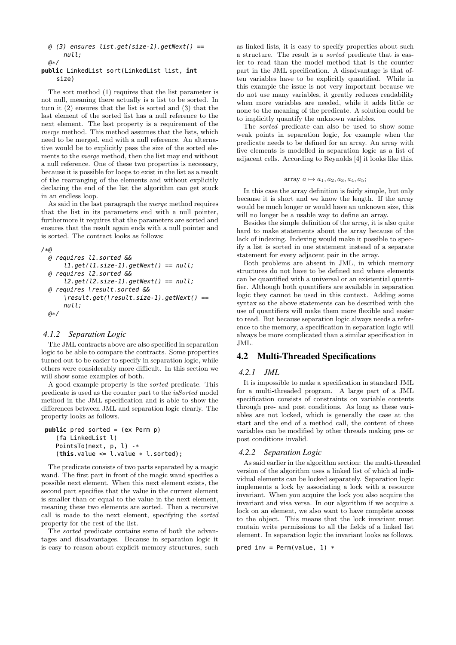#### @ (3) ensures list.get(size-1).getNext() == null; @\*/

```
public LinkedList sort(LinkedList list, int
    size)
```
The sort method (1) requires that the list parameter is not null, meaning there actually is a list to be sorted. In turn it (2) ensures that the list is sorted and (3) that the last element of the sorted list has a null reference to the next element. The last property is a requirement of the merge method. This method assumes that the lists, which need to be merged, end with a null reference. An alternative would be to explicitly pass the size of the sorted elements to the merge method, then the list may end without a null reference. One of these two properties is necessary, because it is possible for loops to exist in the list as a result of the rearranging of the elements and without explicitly declaring the end of the list the algorithm can get stuck in an endless loop.

As said in the last paragraph the merge method requires that the list in its parameters end with a null pointer, furthermore it requires that the parameters are sorted and ensures that the result again ends with a null pointer and is sorted. The contract looks as follows:

```
/*@
```

```
@ requires l1.sorted &&
    ll. get (ll. size-1). get Next() == null;@ requires l2.sorted &&
    l2.get(l2.size-1).getNext() == null;@ requires \result.sorted &&
    \result.get(\result.size-1).getNext() ==
    null;
@*/
```
# *4.1.2 Separation Logic*

The JML contracts above are also specified in separation logic to be able to compare the contracts. Some properties turned out to be easier to specify in separation logic, while others were considerably more difficult. In this section we will show some examples of both.

A good example property is the sorted predicate. This predicate is used as the counter part to the isSorted model method in the JML specification and is able to show the differences between JML and separation logic clearly. The property looks as follows.

```
public pred sorted = (ex Perm p)
   (fa LinkedList l)
   PointsTo(next, p, l) -*
   (this.value \le 1.value * l.sorted);
```
The predicate consists of two parts separated by a magic wand. The first part in front of the magic wand specifies a possible next element. When this next element exists, the second part specifies that the value in the current element is smaller than or equal to the value in the next element, meaning these two elements are sorted. Then a recursive call is made to the next element, specifying the sorted property for the rest of the list.

The sorted predicate contains some of both the advantages and disadvantages. Because in separation logic it is easy to reason about explicit memory structures, such

as linked lists, it is easy to specify properties about such a structure. The result is a sorted predicate that is easier to read than the model method that is the counter part in the JML specification. A disadvantage is that often variables have to be explicitly quantified. While in this example the issue is not very important because we do not use many variables, it greatly reduces readability when more variables are needed, while it adds little or none to the meaning of the predicate. A solution could be to implicitly quantify the unknown variables.

The sorted predicate can also be used to show some weak points in separation logic, for example when the predicate needs to be defined for an array. An array with five elements is modelled in separation logic as a list of adjacent cells. According to Reynolds [4] it looks like this.

array 
$$
a \mapsto a_1, a_2, a_3, a_4, a_5;
$$

In this case the array definition is fairly simple, but only because it is short and we know the length. If the array would be much longer or would have an unknown size, this will no longer be a usable way to define an array.

Besides the simple definition of the array, it is also quite hard to make statements about the array because of the lack of indexing. Indexing would make it possible to specify a list is sorted in one statement instead of a separate statement for every adjacent pair in the array.

Both problems are absent in JML, in which memory structures do not have to be defined and where elements can be quantified with a universal or an existential quantifier. Although both quantifiers are available in separation logic they cannot be used in this context. Adding some syntax so the above statements can be described with the use of quantifiers will make them more flexible and easier to read. But because separation logic always needs a reference to the memory, a specification in separation logic will always be more complicated than a similar specification in JML.

# 4.2 Multi-Threaded Specifications

### *4.2.1 JML*

It is impossible to make a specification in standard JML for a multi-threaded program. A large part of a JML specification consists of constraints on variable contents through pre- and post conditions. As long as these variables are not locked, which is generally the case at the start and the end of a method call, the content of these variables can be modified by other threads making pre- or post conditions invalid.

### *4.2.2 Separation Logic*

As said earlier in the algorithm section: the multi-threaded version of the algorithm uses a linked list of which al individual elements can be locked separately. Separation logic implements a lock by associating a lock with a resource invariant. When you acquire the lock you also acquire the invariant and visa versa. In our algorithm if we acquire a lock on an element, we also want to have complete access to the object. This means that the lock invariant must contain write permissions to all the fields of a linked list element. In separation logic the invariant looks as follows.

pred inv =  $Perm(value, 1)$  \*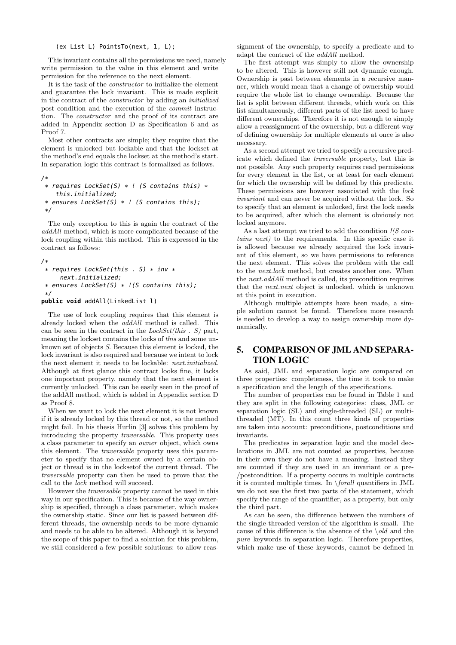#### (ex List L) PointsTo(next, 1, L);

This invariant contains all the permissions we need, namely write permission to the value in this element and write permission for the reference to the next element.

It is the task of the constructor to initialize the element and guarantee the lock invariant. This is made explicit in the contract of the constructor by adding an initialized post condition and the execution of the commit instruction. The constructor and the proof of its contract are added in Appendix section D as Specification 6 and as Proof 7.

Most other contracts are simple; they require that the element is unlocked but lockable and that the lockset at the method's end equals the lockset at the method's start. In separation logic this contract is formalized as follows.

```
/*
 * requires LockSet(S) * ! (S contains this) *this.initialized;
 * ensures LockSet(S) * ! (S contains this);
 */
```
The only exception to this is again the contract of the addAll method, which is more complicated because of the lock coupling within this method. This is expressed in the contract as follows:

```
/*
```

```
* requires LockSet(this . S) * inv *
    next.initialized;
```

```
* ensures LockSet(S) * !(S contains this);
*/
```
### **public void** addAll(LinkedList l)

The use of lock coupling requires that this element is already locked when the addAll method is called. This can be seen in the contract in the  $LockSet(this \cdot S)$  part, meaning the lockset contains the locks of this and some unknown set of objects S. Because this element is locked, the lock invariant is also required and because we intent to lock the next element it needs to be lockable: next.initialized. Although at first glance this contract looks fine, it lacks one important property, namely that the next element is currently unlocked. This can be easily seen in the proof of the addAll method, which is added in Appendix section D as Proof 8.

When we want to lock the next element it is not known if it is already locked by this thread or not, so the method might fail. In his thesis Hurlin [3] solves this problem by introducing the property traversable. This property uses a class parameter to specify an owner object, which owns this element. The traversable property uses this parameter to specify that no element owned by a certain object or thread is in the locksetof the current thread. The traversable property can then be used to prove that the call to the lock method will succeed.

However the traversable property cannot be used in this way in our specification. This is because of the way ownership is specified, through a class parameter, which makes the ownership static. Since our list is passed between different threads, the ownership needs to be more dynamic and needs to be able to be altered. Although it is beyond the scope of this paper to find a solution for this problem, we still considered a few possible solutions: to allow reas-

signment of the ownership, to specify a predicate and to adapt the contract of the addAll method.

The first attempt was simply to allow the ownership to be altered. This is however still not dynamic enough. Ownership is past between elements in a recursive manner, which would mean that a change of ownership would require the whole list to change ownership. Because the list is split between different threads, which work on this list simultaneously, different parts of the list need to have different ownerships. Therefore it is not enough to simply allow a reassignment of the ownership, but a different way of defining ownership for multiple elements at once is also necessary.

As a second attempt we tried to specify a recursive predicate which defined the traversable property, but this is not possible. Any such property requires read permissions for every element in the list, or at least for each element for which the ownership will be defined by this predicate. These permissions are however associated with the lock invariant and can never be acquired without the lock. So to specify that an element is unlocked, first the lock needs to be acquired, after which the element is obviously not locked anymore.

As a last attempt we tried to add the condition  $\frac{1}{S}$  contains next) to the requirements. In this specific case it is allowed because we already acquired the lock invariant of this element, so we have permissions to reference the next element. This solves the problem with the call to the next.lock method, but creates another one. When the next.addAll method is called, its precondition requires that the next.next object is unlocked, which is unknown at this point in execution.

Although multiple attempts have been made, a simple solution cannot be found. Therefore more research is needed to develop a way to assign ownership more dynamically.

# 5. COMPARISON OF JML AND SEPARA-TION LOGIC

As said, JML and separation logic are compared on three properties: completeness, the time it took to make a specification and the length of the specifications.

The number of properties can be found in Table 1 and they are split in the following categories: class, JML or separation logic (SL) and single-threaded (SL) or multithreaded (MT). In this count three kinds of properties are taken into account: preconditions, postconditions and invariants.

The predicates in separation logic and the model declarations in JML are not counted as properties, because in their own they do not have a meaning. Instead they are counted if they are used in an invariant or a pre- /postcondition. If a property occurs in multiple contracts it is counted multiple times. In \forall quantifiers in JML we do not see the first two parts of the statement, which specify the range of the quantifier, as a property, but only the third part.

As can be seen, the difference between the numbers of the single-threaded version of the algorithm is small. The cause of this difference is the absence of the  $\cdot$ old and the pure keywords in separation logic. Therefore properties, which make use of these keywords, cannot be defined in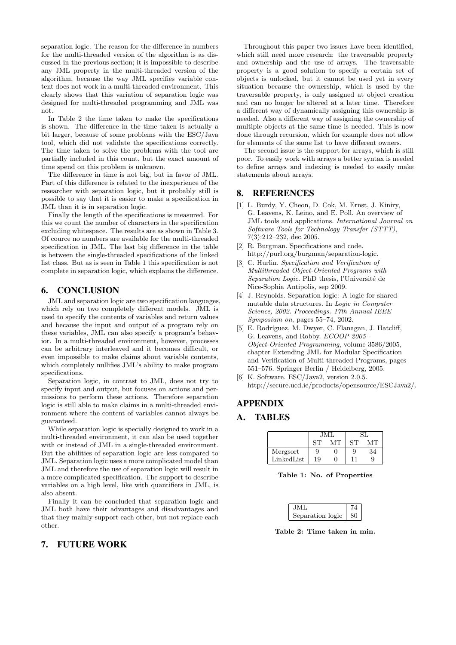separation logic. The reason for the difference in numbers for the multi-threaded version of the algorithm is as discussed in the previous section; it is impossible to describe any JML property in the multi-threaded version of the algorithm, because the way JML specifies variable content does not work in a multi-threaded environment. This clearly shows that this variation of separation logic was designed for multi-threaded programming and JML was not.

In Table 2 the time taken to make the specifications is shown. The difference in the time taken is actually a bit larger, because of some problems with the ESC/Java tool, which did not validate the specifications correctly. The time taken to solve the problems with the tool are partially included in this count, but the exact amount of time spend on this problem is unknown.

The difference in time is not big, but in favor of JML. Part of this difference is related to the inexperience of the researcher with separation logic, but it probably still is possible to say that it is easier to make a specification in JML than it is in separation logic.

Finally the length of the specifications is measured. For this we count the number of characters in the specification excluding whitespace. The results are as shown in Table 3. Of cource no numbers are available for the multi-threaded specification in JML. The last big difference in the table is between the single-threaded specifications of the linked list class. But as is seen in Table 1 this specification is not complete in separation logic, which explains the difference.

# 6. CONCLUSION

JML and separation logic are two specification languages, which rely on two completely different models. JML is used to specify the contents of variables and return values and because the input and output of a program rely on these variables, JML can also specify a program's behavior. In a multi-threaded environment, however, processes can be arbitrary interleaved and it becomes difficult, or even impossible to make claims about variable contents, which completely nullifies JML's ability to make program specifications.

Separation logic, in contrast to JML, does not try to specify input and output, but focuses on actions and permissions to perform these actions. Therefore separation logic is still able to make claims in a multi-threaded environment where the content of variables cannot always be guaranteed.

While separation logic is specially designed to work in a multi-threaded environment, it can also be used together with or instead of JML in a single-threaded environment. But the abilities of separation logic are less compared to JML. Separation logic uses a more complicated model than JML and therefore the use of separation logic will result in a more complicated specification. The support to describe variables on a high level, like with quantifiers in JML, is also absent.

Finally it can be concluded that separation logic and JML both have their advantages and disadvantages and that they mainly support each other, but not replace each other.

# 7. FUTURE WORK

Throughout this paper two issues have been identified, which still need more research: the traversable property and ownership and the use of arrays. The traversable property is a good solution to specify a certain set of objects is unlocked, but it cannot be used yet in every situation because the ownership, which is used by the traversable property, is only assigned at object creation and can no longer be altered at a later time. Therefore a different way of dynamically assigning this ownership is needed. Also a different way of assigning the ownership of multiple objects at the same time is needed. This is now done through recursion, which for example does not allow for elements of the same list to have different owners.

The second issue is the support for arrays, which is still poor. To easily work with arrays a better syntax is needed to define arrays and indexing is needed to easily make statements about arrays.

# 8. REFERENCES

- [1] L. Burdy, Y. Cheon, D. Cok, M. Ernst, J. Kiniry, G. Leavens, K. Leino, and E. Poll. An overview of JML tools and applications. International Journal on Software Tools for Technology Transfer (STTT), 7(3):212–232, dec 2005.
- [2] R. Burgman. Specifications and code. http://purl.org/burgman/separation-logic.
- [3] C. Hurlin. Specification and Verification of Multithreaded Object-Oriented Programs with Separation Logic. PhD thesis, l'Université de Nice-Sophia Antipolis, sep 2009.
- [4] J. Reynolds. Separation logic: A logic for shared mutable data structures. In Logic in Computer Science, 2002. Proceedings. 17th Annual IEEE Symposium on, pages 55–74, 2002.
- [5] E. Rodríguez, M. Dwyer, C. Flanagan, J. Hatcliff, G. Leavens, and Robby. ECOOP 2005 - Object-Oriented Programming, volume 3586/2005, chapter Extending JML for Modular Specification and Verification of Multi-threaded Programs, pages 551–576. Springer Berlin / Heidelberg, 2005.
- [6] K. Software. ESC/Java2, version 2.0.5. http://secure.ucd.ie/products/opensource/ESCJava2/.

# APPENDIX

# A. TABLES

|            | .IMI |    |             |    |
|------------|------|----|-------------|----|
|            | SТ   | MТ | ST          |    |
| Mergsort   | 9    |    | 9           | 34 |
| LinkedList | 19   |    | $1^{\circ}$ | 9  |

Table 1: No. of Properties

| JML              |      |  |
|------------------|------|--|
| Separation logic | - 80 |  |

Table 2: Time taken in min.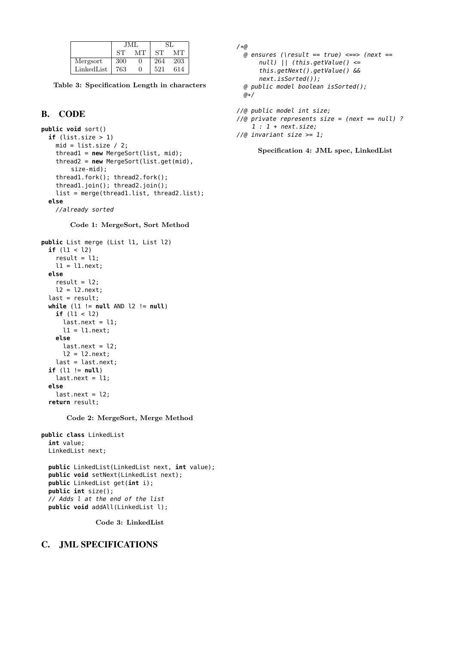|            | .JMI |              |     |     |
|------------|------|--------------|-----|-----|
|            | SТ   | MТ           | ST  | MТ  |
| Mergsort   | 300  |              | 264 | 203 |
| LinkedList | 763  | $\mathbf{0}$ | 521 | 614 |

Table 3: Specification Length in characters

# B. CODE

```
public void sort()
 if (list.size > 1)
   mid = list.size / 2;thread1 = new MergeSort(list, mid);
   thread2 = new MergeSort(list.get(mid),
        size-mid);
   thread1.fork(); thread2.fork();
    thread1.join(); thread2.join();
    list = merge(thread1.list, thread2.list);
  else
   //already sorted
```
Code 1: MergeSort, Sort Method

```
public List merge (List l1, List l2)
 if (l1 < l2)
    result = l1;
    l1 = l1.next;
  else
    result = l2;
    l2 = l2.next;last = result;
 while (l1 != null AND l2 != null)
    if (l1 < l2)
      last.next = 11;l1 = l1.next;
    else
      last.next = 12;l2 = l2.next;last = last.next;
  if (l1 != null)
    last.next = 11;else
   last.next = 12:
  return result;
```
Code 2: MergeSort, Merge Method

```
public class LinkedList
  int value;
 LinkedList next;
  public LinkedList(LinkedList next, int value);
 public void setNext(LinkedList next);
 public LinkedList get(int i);
 public int size();
 // Adds l at the end of the list
 public void addAll(LinkedList l);
```
Code 3: LinkedList

# C. JML SPECIFICATIONS

```
/*@
 @ ensures (\result == true) <==> (next ==
      null) || (this.getValue() <=
      this.getNext().getValue() &&
      next.isSorted());
 @ public model boolean isSorted();
 a*/
```

```
//@ public model int size;
//@ private represents size = (next == null) ?
    1 : 1 + next.size;//@ invariant size >= 1;
```
Specification 4: JML spec, LinkedList